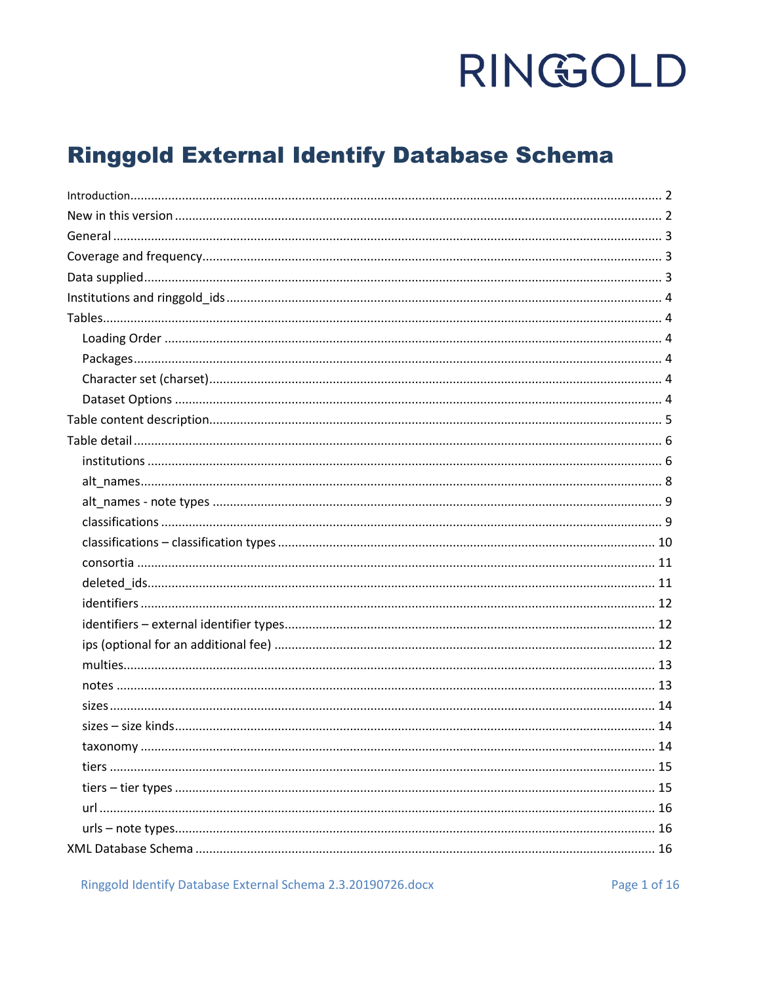### **Ringgold External Identify Database Schema**

Ringgold Identify Database External Schema 2.3.20190726.docx

Page 1 of 16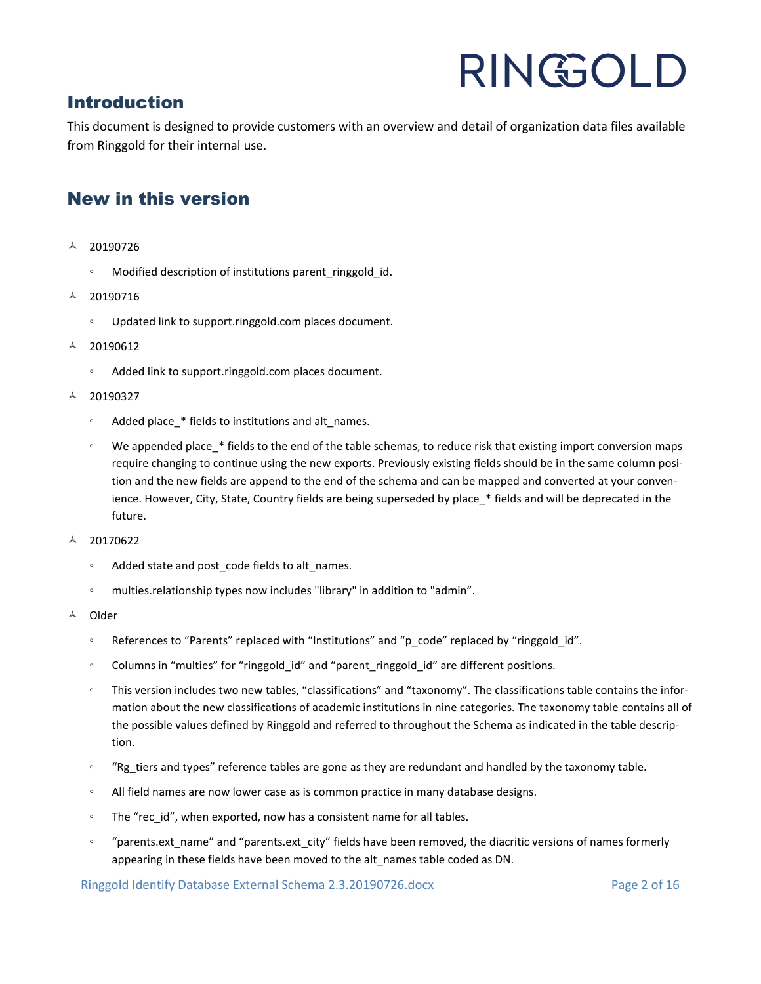### <span id="page-1-0"></span>Introduction

This document is designed to provide customers with an overview and detail of organization data files available from Ringgold for their internal use.

### <span id="page-1-1"></span>New in this version

- 20190726
	- Modified description of institutions parent\_ringgold\_id.
- $A$  20190716
	- Updated link to support.ringgold.com places document.
- $\sim$  20190612
	- Added link to support.ringgold.com places document.
- $A$  20190327
	- Added place\_\* fields to institutions and alt\_names.
	- We appended place\_\* fields to the end of the table schemas, to reduce risk that existing import conversion maps require changing to continue using the new exports. Previously existing fields should be in the same column position and the new fields are append to the end of the schema and can be mapped and converted at your convenience. However, City, State, Country fields are being superseded by place \* fields and will be deprecated in the future.
- $\text{\AA}$  20170622
	- Added state and post\_code fields to alt\_names.
	- multies.relationship types now includes "library" in addition to "admin".
- <sup>A</sup> Older
	- References to "Parents" replaced with "Institutions" and "p\_code" replaced by "ringgold\_id".
	- Columns in "multies" for "ringgold\_id" and "parent\_ringgold\_id" are different positions.
	- This version includes two new tables, "classifications" and "taxonomy". The classifications table contains the information about the new classifications of academic institutions in nine categories. The taxonomy table contains all of the possible values defined by Ringgold and referred to throughout the Schema as indicated in the table description.
	- "Rg tiers and types" reference tables are gone as they are redundant and handled by the taxonomy table.
	- All field names are now lower case as is common practice in many database designs.
	- The "rec\_id", when exported, now has a consistent name for all tables.
	- "parents.ext\_name" and "parents.ext\_city" fields have been removed, the diacritic versions of names formerly appearing in these fields have been moved to the alt\_names table coded as DN.

Ringgold Identify Database External Schema 2.3.20190726.docx Page 2 of 16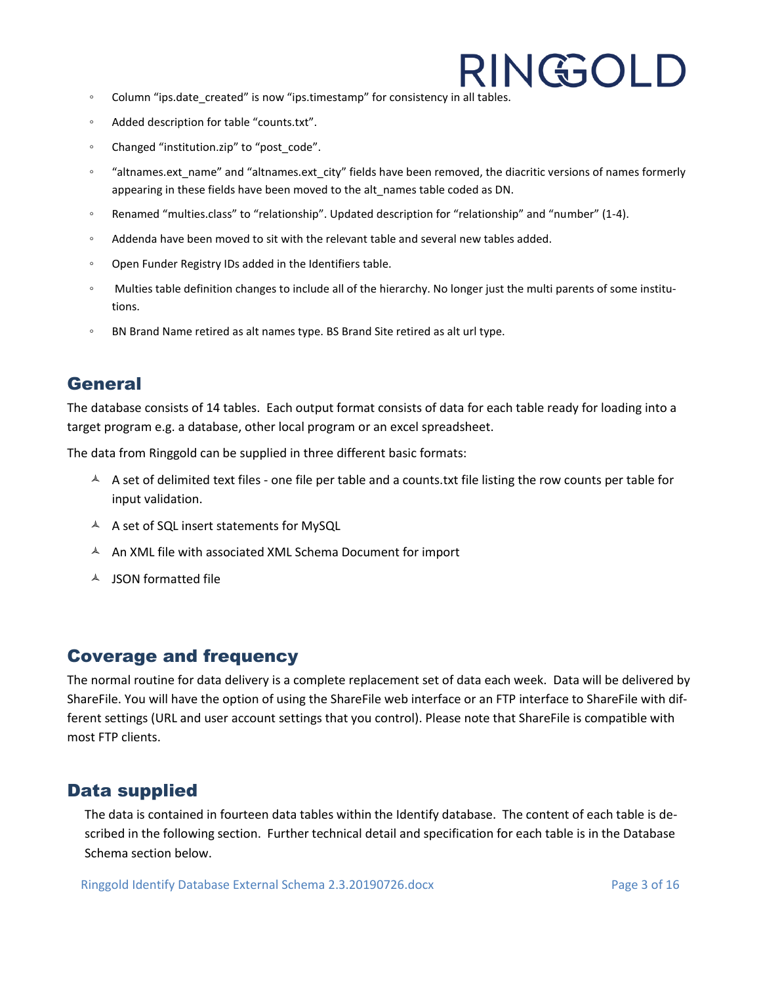- Column "ips.date\_created" is now "ips.timestamp" for consistency in all tables.
- Added description for table "counts.txt".
- Changed "institution.zip" to "post\_code".
- "altnames.ext\_name" and "altnames.ext\_city" fields have been removed, the diacritic versions of names formerly appearing in these fields have been moved to the alt\_names table coded as DN.
- Renamed "multies.class" to "relationship". Updated description for "relationship" and "number" (1-4).
- Addenda have been moved to sit with the relevant table and several new tables added.
- Open Funder Registry IDs added in the Identifiers table.
- Multies table definition changes to include all of the hierarchy. No longer just the multi parents of some institutions.
- BN Brand Name retired as alt names type. BS Brand Site retired as alt url type.

### <span id="page-2-0"></span>**General**

The database consists of 14 tables. Each output format consists of data for each table ready for loading into a target program e.g. a database, other local program or an excel spreadsheet.

The data from Ringgold can be supplied in three different basic formats:

- $\uparrow$  A set of delimited text files one file per table and a counts.txt file listing the row counts per table for input validation.
- A A set of SQL insert statements for MySQL
- $A$  An XML file with associated XML Schema Document for import
- $\triangle$  ISON formatted file

### <span id="page-2-1"></span>Coverage and frequency

The normal routine for data delivery is a complete replacement set of data each week. Data will be delivered by ShareFile. You will have the option of using the ShareFile web interface or an FTP interface to ShareFile with different settings (URL and user account settings that you control). Please note that ShareFile is compatible with most FTP clients.

### <span id="page-2-2"></span>Data supplied

The data is contained in fourteen data tables within the Identify database. The content of each table is described in the following section. Further technical detail and specification for each table is in the Database Schema section below.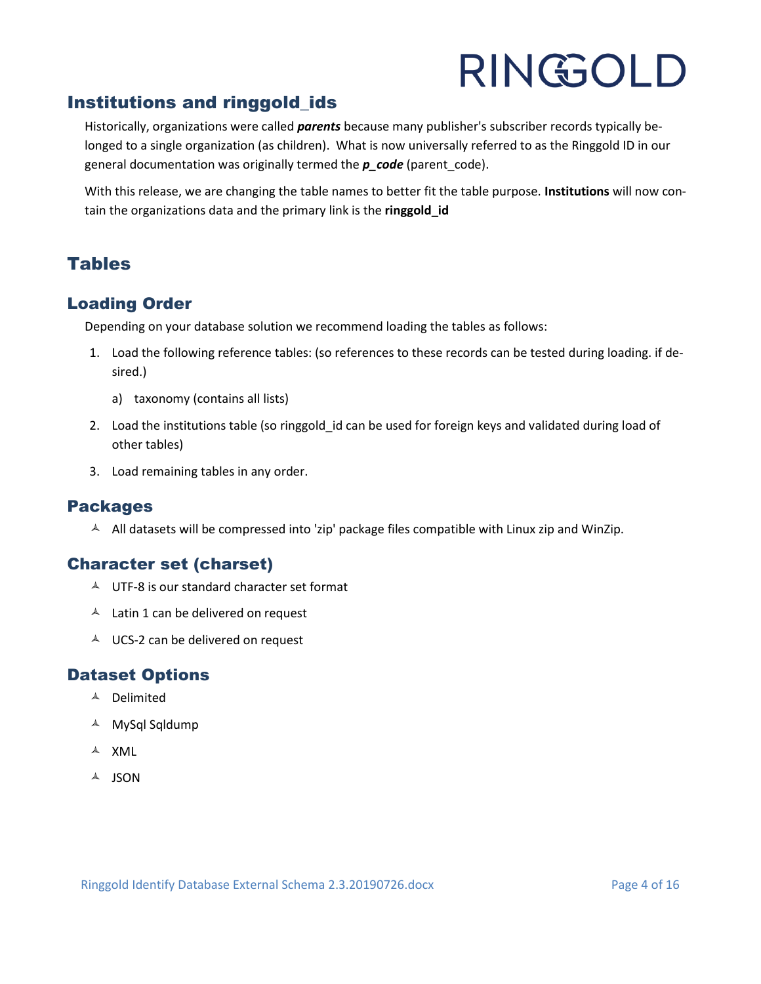### <span id="page-3-0"></span>Institutions and ringgold\_ids

Historically, organizations were called *parents* because many publisher's subscriber records typically belonged to a single organization (as children). What is now universally referred to as the Ringgold ID in our general documentation was originally termed the *p\_code* (parent\_code).

With this release, we are changing the table names to better fit the table purpose. **Institutions** will now contain the organizations data and the primary link is the **ringgold\_id**

### <span id="page-3-1"></span>**Tables**

### <span id="page-3-2"></span>Loading Order

Depending on your database solution we recommend loading the tables as follows:

- 1. Load the following reference tables: (so references to these records can be tested during loading. if desired.)
	- a) taxonomy (contains all lists)
- 2. Load the institutions table (so ringgold id can be used for foreign keys and validated during load of other tables)
- 3. Load remaining tables in any order.

### <span id="page-3-3"></span>Packages

 $\triangle$  All datasets will be compressed into 'zip' package files compatible with Linux zip and WinZip.

### <span id="page-3-4"></span>Character set (charset)

- $\triangle$  UTF-8 is our standard character set format
- $\triangle$  Latin 1 can be delivered on request
- $\triangle$  UCS-2 can be delivered on request

### <span id="page-3-5"></span>Dataset Options

- Delimited
- MySql Sqldump
- $\triangle$  XML
- $A$  JSON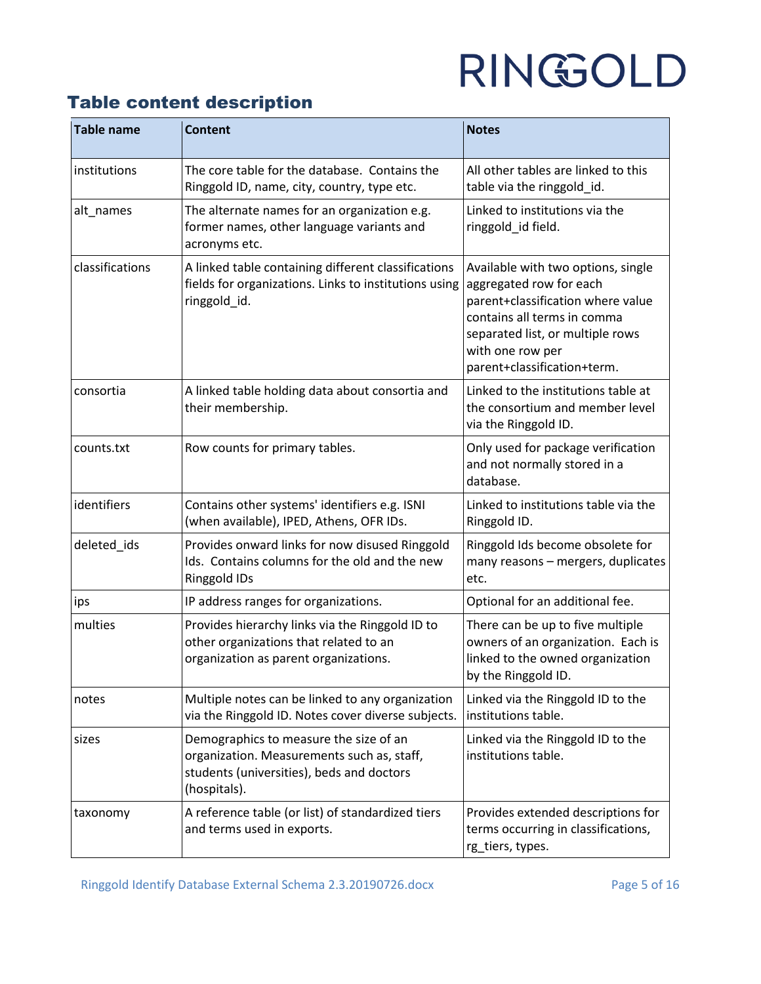### <span id="page-4-0"></span>Table content description

| <b>Table name</b> | <b>Content</b>                                                                                                                                    | <b>Notes</b>                                                                                                                                                                                                             |
|-------------------|---------------------------------------------------------------------------------------------------------------------------------------------------|--------------------------------------------------------------------------------------------------------------------------------------------------------------------------------------------------------------------------|
| institutions      | The core table for the database. Contains the<br>Ringgold ID, name, city, country, type etc.                                                      | All other tables are linked to this<br>table via the ringgold id.                                                                                                                                                        |
| alt_names         | The alternate names for an organization e.g.<br>former names, other language variants and<br>acronyms etc.                                        | Linked to institutions via the<br>ringgold_id field.                                                                                                                                                                     |
| classifications   | A linked table containing different classifications<br>fields for organizations. Links to institutions using<br>ringgold_id.                      | Available with two options, single<br>aggregated row for each<br>parent+classification where value<br>contains all terms in comma<br>separated list, or multiple rows<br>with one row per<br>parent+classification+term. |
| consortia         | A linked table holding data about consortia and<br>their membership.                                                                              | Linked to the institutions table at<br>the consortium and member level<br>via the Ringgold ID.                                                                                                                           |
| counts.txt        | Row counts for primary tables.                                                                                                                    | Only used for package verification<br>and not normally stored in a<br>database.                                                                                                                                          |
| identifiers       | Contains other systems' identifiers e.g. ISNI<br>(when available), IPED, Athens, OFR IDs.                                                         | Linked to institutions table via the<br>Ringgold ID.                                                                                                                                                                     |
| deleted_ids       | Provides onward links for now disused Ringgold<br>Ids. Contains columns for the old and the new<br>Ringgold IDs                                   | Ringgold Ids become obsolete for<br>many reasons - mergers, duplicates<br>etc.                                                                                                                                           |
| ips               | IP address ranges for organizations.                                                                                                              | Optional for an additional fee.                                                                                                                                                                                          |
| multies           | Provides hierarchy links via the Ringgold ID to<br>other organizations that related to an<br>organization as parent organizations.                | There can be up to five multiple<br>owners of an organization. Each is<br>linked to the owned organization<br>by the Ringgold ID.                                                                                        |
| notes             | Multiple notes can be linked to any organization<br>via the Ringgold ID. Notes cover diverse subjects.                                            | Linked via the Ringgold ID to the<br>institutions table.                                                                                                                                                                 |
| sizes             | Demographics to measure the size of an<br>organization. Measurements such as, staff,<br>students (universities), beds and doctors<br>(hospitals). | Linked via the Ringgold ID to the<br>institutions table.                                                                                                                                                                 |
| taxonomy          | A reference table (or list) of standardized tiers<br>and terms used in exports.                                                                   | Provides extended descriptions for<br>terms occurring in classifications,<br>rg_tiers, types.                                                                                                                            |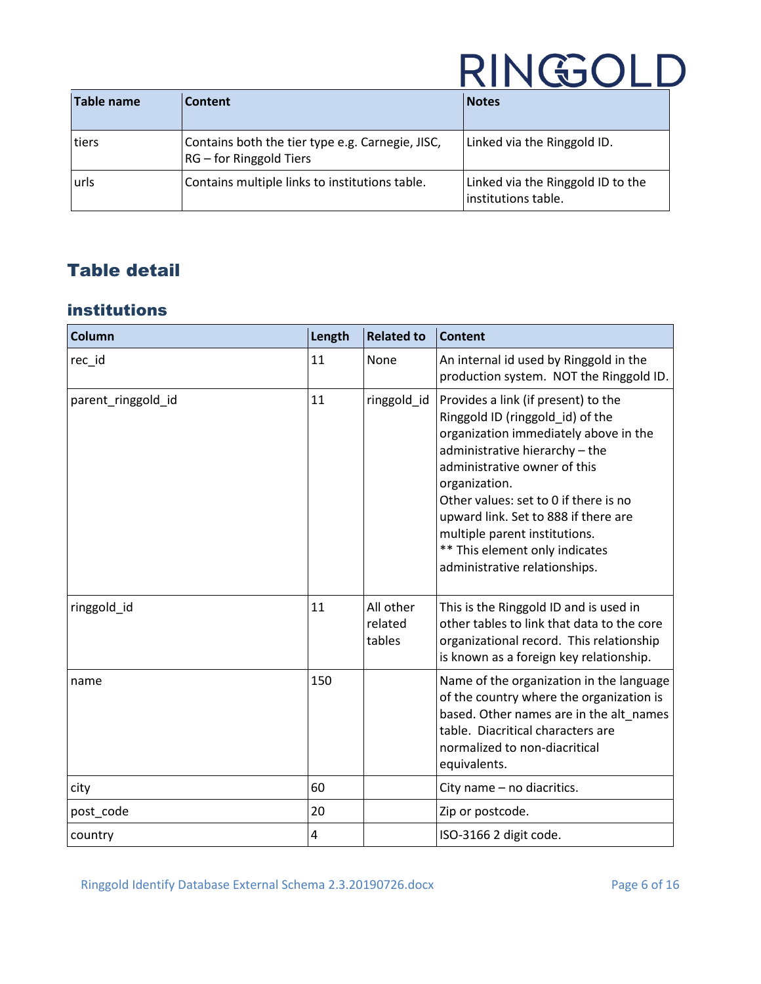| Table name | Content                                                                     | <b>Notes</b>                                             |
|------------|-----------------------------------------------------------------------------|----------------------------------------------------------|
| tiers      | Contains both the tier type e.g. Carnegie, JISC,<br>RG – for Ringgold Tiers | Linked via the Ringgold ID.                              |
| urls       | Contains multiple links to institutions table.                              | Linked via the Ringgold ID to the<br>institutions table. |

### <span id="page-5-0"></span>Table detail

### <span id="page-5-1"></span>institutions

| <b>Column</b>      | Length | <b>Related to</b>              | <b>Content</b>                                                                                                                                                                                                                                                                                                                                                                           |
|--------------------|--------|--------------------------------|------------------------------------------------------------------------------------------------------------------------------------------------------------------------------------------------------------------------------------------------------------------------------------------------------------------------------------------------------------------------------------------|
| rec_id             | 11     | None                           | An internal id used by Ringgold in the<br>production system. NOT the Ringgold ID.                                                                                                                                                                                                                                                                                                        |
| parent_ringgold_id | 11     | ringgold_id                    | Provides a link (if present) to the<br>Ringgold ID (ringgold_id) of the<br>organization immediately above in the<br>administrative hierarchy - the<br>administrative owner of this<br>organization.<br>Other values: set to 0 if there is no<br>upward link. Set to 888 if there are<br>multiple parent institutions.<br>** This element only indicates<br>administrative relationships. |
| ringgold id        | 11     | All other<br>related<br>tables | This is the Ringgold ID and is used in<br>other tables to link that data to the core<br>organizational record. This relationship<br>is known as a foreign key relationship.                                                                                                                                                                                                              |
| name               | 150    |                                | Name of the organization in the language<br>of the country where the organization is<br>based. Other names are in the alt names<br>table. Diacritical characters are<br>normalized to non-diacritical<br>equivalents.                                                                                                                                                                    |
| city               | 60     |                                | City name - no diacritics.                                                                                                                                                                                                                                                                                                                                                               |
| post_code          | 20     |                                | Zip or postcode.                                                                                                                                                                                                                                                                                                                                                                         |
| country            | 4      |                                | ISO-3166 2 digit code.                                                                                                                                                                                                                                                                                                                                                                   |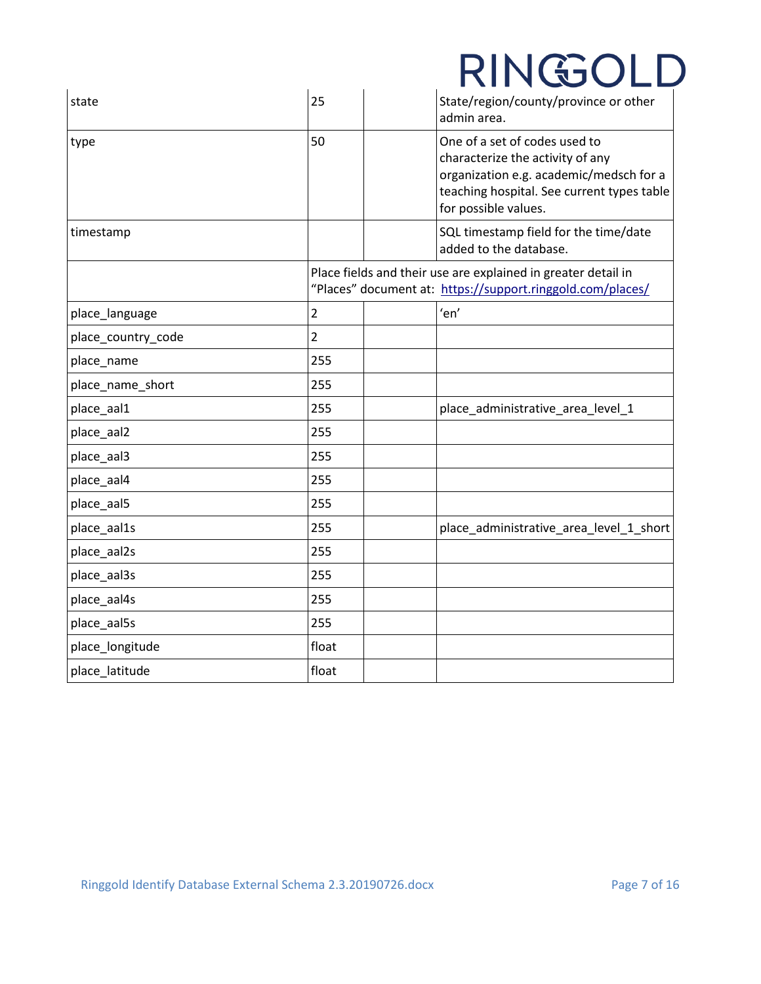| state              | 25             | State/region/county/province or other<br>admin area.                                                                                                                               |
|--------------------|----------------|------------------------------------------------------------------------------------------------------------------------------------------------------------------------------------|
| type               | 50             | One of a set of codes used to<br>characterize the activity of any<br>organization e.g. academic/medsch for a<br>teaching hospital. See current types table<br>for possible values. |
| timestamp          |                | SQL timestamp field for the time/date<br>added to the database.                                                                                                                    |
|                    |                | Place fields and their use are explained in greater detail in<br>"Places" document at: https://support.ringgold.com/places/                                                        |
| place_language     | $\overline{2}$ | 'en'                                                                                                                                                                               |
| place_country_code | $\overline{2}$ |                                                                                                                                                                                    |
| place_name         | 255            |                                                                                                                                                                                    |
| place_name_short   | 255            |                                                                                                                                                                                    |
| place_aal1         | 255            | place_administrative_area_level_1                                                                                                                                                  |
| place_aal2         | 255            |                                                                                                                                                                                    |
| place_aal3         | 255            |                                                                                                                                                                                    |
| place_aal4         | 255            |                                                                                                                                                                                    |
| place_aal5         | 255            |                                                                                                                                                                                    |
| place_aal1s        | 255            | place_administrative_area_level_1_short                                                                                                                                            |
| place_aal2s        | 255            |                                                                                                                                                                                    |
| place_aal3s        | 255            |                                                                                                                                                                                    |
| place_aal4s        | 255            |                                                                                                                                                                                    |
| place_aal5s        | 255            |                                                                                                                                                                                    |
| place_longitude    | float          |                                                                                                                                                                                    |
| place_latitude     | float          |                                                                                                                                                                                    |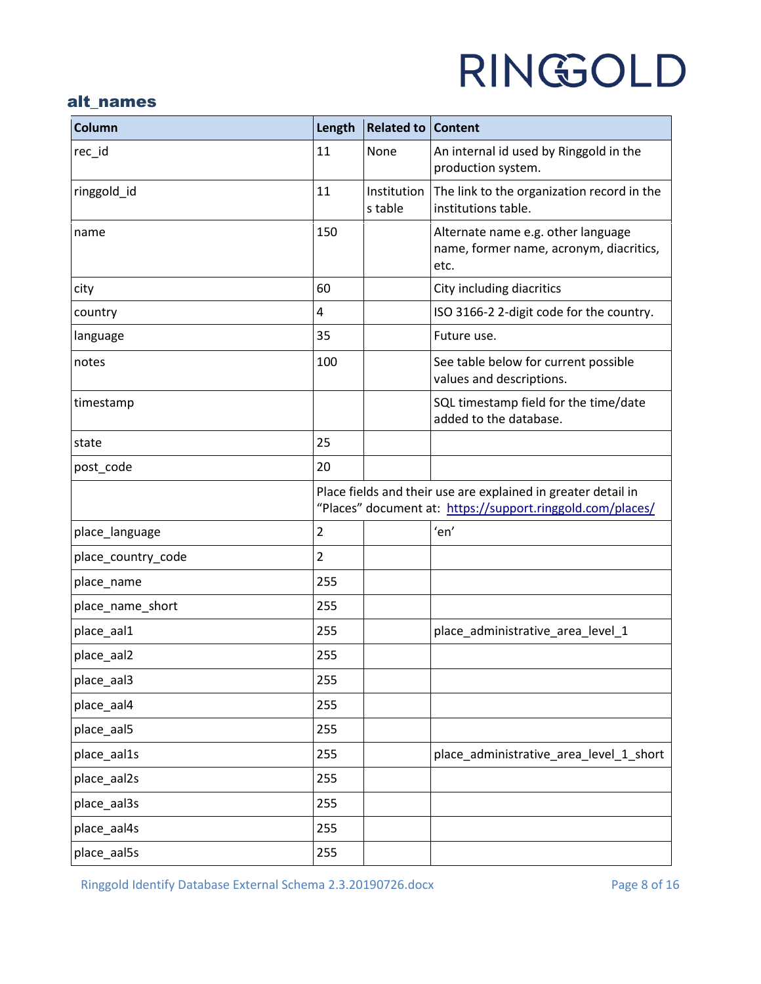### <span id="page-7-0"></span>alt\_names

| <b>Column</b>      | Length         | <b>Related to Content</b> |                                                                                                                             |
|--------------------|----------------|---------------------------|-----------------------------------------------------------------------------------------------------------------------------|
| rec_id             | 11             | None                      | An internal id used by Ringgold in the<br>production system.                                                                |
| ringgold_id        | 11             | Institution<br>s table    | The link to the organization record in the<br>institutions table.                                                           |
| name               | 150            |                           | Alternate name e.g. other language<br>name, former name, acronym, diacritics,<br>etc.                                       |
| city               | 60             |                           | City including diacritics                                                                                                   |
| country            | 4              |                           | ISO 3166-2 2-digit code for the country.                                                                                    |
| language           | 35             |                           | Future use.                                                                                                                 |
| notes              | 100            |                           | See table below for current possible<br>values and descriptions.                                                            |
| timestamp          |                |                           | SQL timestamp field for the time/date<br>added to the database.                                                             |
| state              | 25             |                           |                                                                                                                             |
| post_code          | 20             |                           |                                                                                                                             |
|                    |                |                           | Place fields and their use are explained in greater detail in<br>"Places" document at: https://support.ringgold.com/places/ |
| place_language     | $\overline{2}$ |                           | 'en'                                                                                                                        |
| place_country_code | $\overline{2}$ |                           |                                                                                                                             |
| place_name         | 255            |                           |                                                                                                                             |
| place_name_short   | 255            |                           |                                                                                                                             |
| place_aal1         | 255            |                           | place_administrative_area_level_1                                                                                           |
| place_aal2         | 255            |                           |                                                                                                                             |
| place_aal3         | 255            |                           |                                                                                                                             |
| place_aal4         | 255            |                           |                                                                                                                             |
| place_aal5         | 255            |                           |                                                                                                                             |
| place_aal1s        | 255            |                           | place_administrative_area_level_1_short                                                                                     |
| place_aal2s        | 255            |                           |                                                                                                                             |
| place_aal3s        | 255            |                           |                                                                                                                             |
| place_aal4s        | 255            |                           |                                                                                                                             |
| place_aal5s        | 255            |                           |                                                                                                                             |

Ringgold Identify Database External Schema 2.3.20190726.docx Page 8 of 16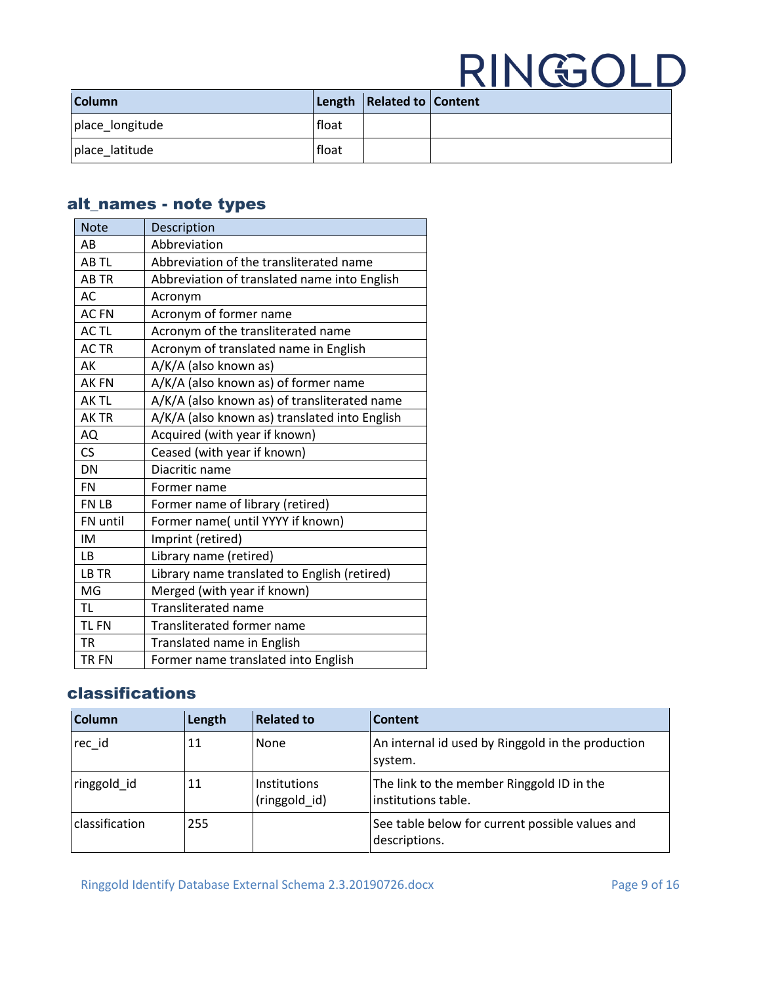| <b>Column</b>   |       | Length   Related to   Content |  |
|-----------------|-------|-------------------------------|--|
| place_longitude | float |                               |  |
| place latitude  | float |                               |  |

### <span id="page-8-0"></span>alt\_names - note types

| <b>Note</b> | Description                                   |
|-------------|-----------------------------------------------|
| AB          | Abbreviation                                  |
| AB TL       | Abbreviation of the transliterated name       |
| <b>ABTR</b> | Abbreviation of translated name into English  |
| AC          | Acronym                                       |
| <b>ACFN</b> | Acronym of former name                        |
| AC TL       | Acronym of the transliterated name            |
| <b>ACTR</b> | Acronym of translated name in English         |
| AK          | A/K/A (also known as)                         |
| <b>AKFN</b> | A/K/A (also known as) of former name          |
| AK TL       | A/K/A (also known as) of transliterated name  |
| AK TR       | A/K/A (also known as) translated into English |
| AQ          | Acquired (with year if known)                 |
| CS          | Ceased (with year if known)                   |
| <b>DN</b>   | Diacritic name                                |
| <b>FN</b>   | Former name                                   |
| FN LB       | Former name of library (retired)              |
| FN until    | Former name( until YYYY if known)             |
| IM          | Imprint (retired)                             |
| <b>LB</b>   | Library name (retired)                        |
| LB TR       | Library name translated to English (retired)  |
| MG          | Merged (with year if known)                   |
| <b>TL</b>   | <b>Transliterated name</b>                    |
| <b>TLFN</b> | <b>Transliterated former name</b>             |
| <b>TR</b>   | Translated name in English                    |
| <b>TRFN</b> | Former name translated into English           |

### <span id="page-8-1"></span>classifications

| Column         | Length | <b>Related to</b>                    | Content                                                          |
|----------------|--------|--------------------------------------|------------------------------------------------------------------|
| rec id         | 11     | None                                 | An internal id used by Ringgold in the production<br>system.     |
| ringgold id    | 11     | <b>Institutions</b><br>(ringgold_id) | The link to the member Ringgold ID in the<br>institutions table. |
| classification | 255    |                                      | See table below for current possible values and<br>descriptions. |

Ringgold Identify Database External Schema 2.3.20190726.docx Page 9 of 16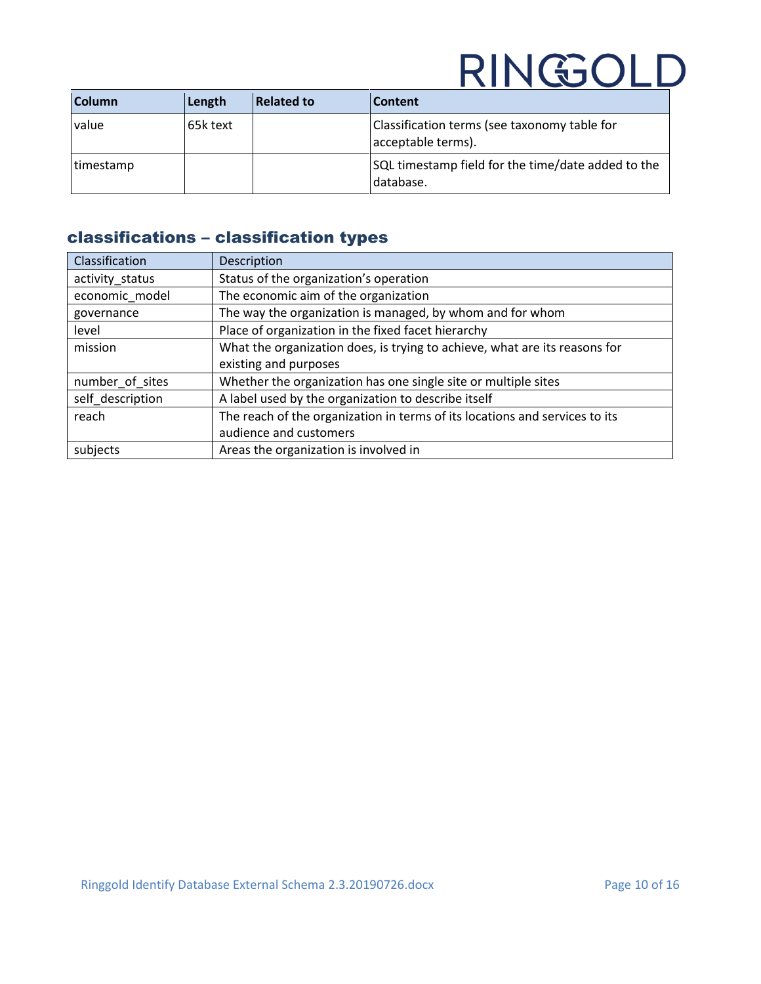| <b>Column</b> | Length   | <b>Related to</b> | Content                                                            |
|---------------|----------|-------------------|--------------------------------------------------------------------|
| value         | 65k text |                   | Classification terms (see taxonomy table for<br>acceptable terms). |
| timestamp     |          |                   | SQL timestamp field for the time/date added to the<br>database.    |

### <span id="page-9-0"></span>classifications – classification types

| Classification   | Description                                                                 |
|------------------|-----------------------------------------------------------------------------|
| activity_status  | Status of the organization's operation                                      |
| economic model   | The economic aim of the organization                                        |
| governance       | The way the organization is managed, by whom and for whom                   |
| level            | Place of organization in the fixed facet hierarchy                          |
| mission          | What the organization does, is trying to achieve, what are its reasons for  |
|                  | existing and purposes                                                       |
| number of sites  | Whether the organization has one single site or multiple sites              |
| self description | A label used by the organization to describe itself                         |
| reach            | The reach of the organization in terms of its locations and services to its |
|                  | audience and customers                                                      |
| subjects         | Areas the organization is involved in                                       |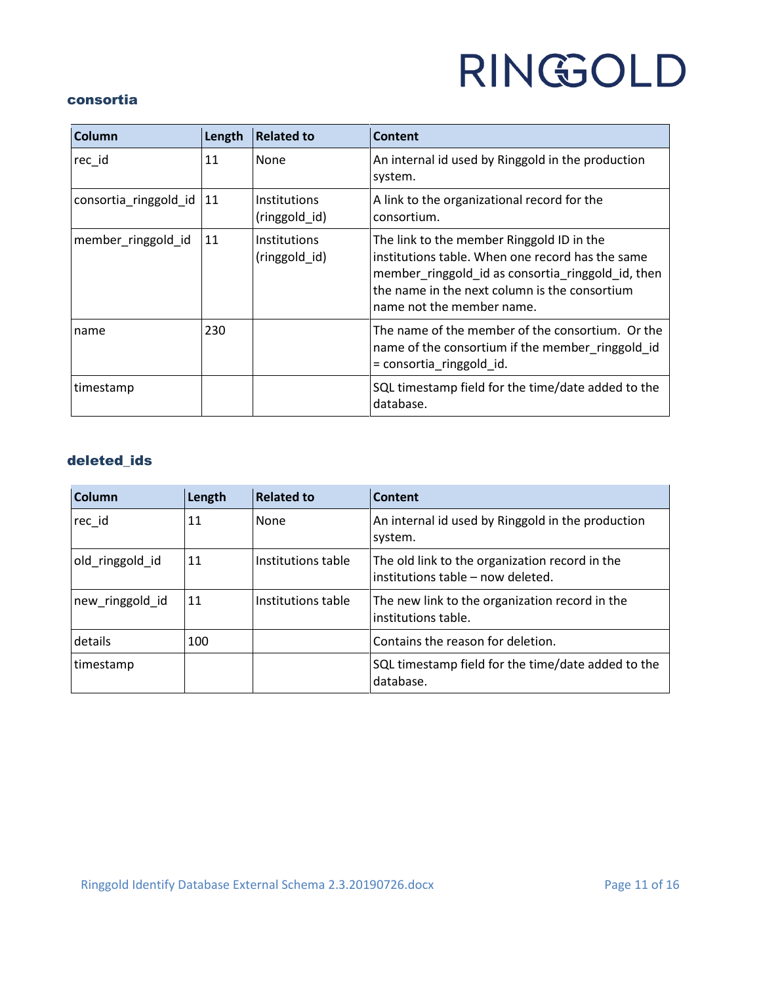#### <span id="page-10-0"></span>consortia

| Column                | Length | <b>Related to</b>                    | <b>Content</b>                                                                                                                                                                                                                   |
|-----------------------|--------|--------------------------------------|----------------------------------------------------------------------------------------------------------------------------------------------------------------------------------------------------------------------------------|
| rec id                | 11     | None                                 | An internal id used by Ringgold in the production<br>system.                                                                                                                                                                     |
| consortia_ringgold_id | 11     | <b>Institutions</b><br>(ringgold_id) | A link to the organizational record for the<br>consortium.                                                                                                                                                                       |
| member_ringgold_id    | 11     | <b>Institutions</b><br>(ringgold id) | The link to the member Ringgold ID in the<br>institutions table. When one record has the same<br>member_ringgold_id as consortia_ringgold_id, then<br>the name in the next column is the consortium<br>name not the member name. |
| name                  | 230    |                                      | The name of the member of the consortium. Or the<br>name of the consortium if the member_ringgold_id<br>= consortia_ringgold_id.                                                                                                 |
| timestamp             |        |                                      | SQL timestamp field for the time/date added to the<br>database.                                                                                                                                                                  |

### <span id="page-10-1"></span>deleted\_ids

| Column          | Length | <b>Related to</b>  | Content                                                                             |
|-----------------|--------|--------------------|-------------------------------------------------------------------------------------|
| rec id          | 11     | None               | An internal id used by Ringgold in the production<br>system.                        |
| old ringgold id | 11     | Institutions table | The old link to the organization record in the<br>institutions table - now deleted. |
| new_ringgold_id | 11     | Institutions table | The new link to the organization record in the<br>institutions table.               |
| details         | 100    |                    | Contains the reason for deletion.                                                   |
| timestamp       |        |                    | SQL timestamp field for the time/date added to the<br>database.                     |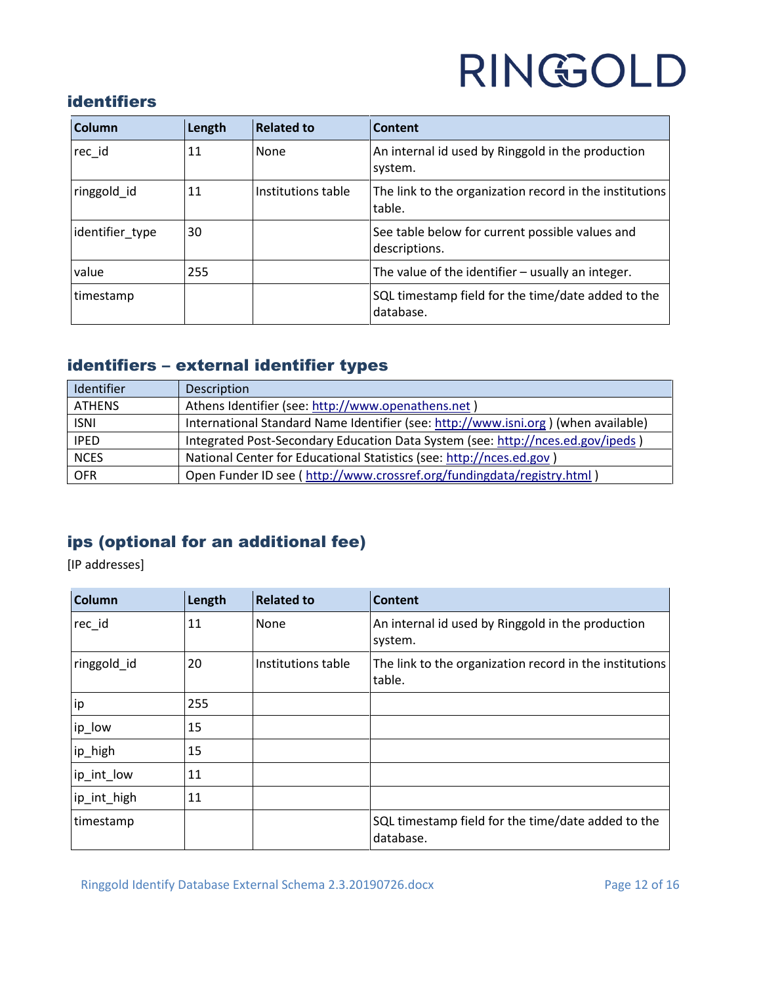### <span id="page-11-0"></span>identifiers

| <b>Column</b>   | Length | <b>Related to</b>  | Content                                                           |
|-----------------|--------|--------------------|-------------------------------------------------------------------|
| rec id          | 11     | None               | An internal id used by Ringgold in the production<br>system.      |
| ringgold_id     | 11     | Institutions table | The link to the organization record in the institutions<br>table. |
| identifier_type | 30     |                    | See table below for current possible values and<br>descriptions.  |
| value           | 255    |                    | The value of the identifier $-$ usually an integer.               |
| timestamp       |        |                    | SQL timestamp field for the time/date added to the<br>database.   |

### <span id="page-11-1"></span>identifiers – external identifier types

| <b>Identifier</b> | Description                                                                        |
|-------------------|------------------------------------------------------------------------------------|
| <b>ATHENS</b>     | Athens Identifier (see: http://www.openathens.net)                                 |
| <b>ISNI</b>       | International Standard Name Identifier (see: http://www.isni.org) (when available) |
| <b>IPED</b>       | Integrated Post-Secondary Education Data System (see: http://nces.ed.gov/ipeds)    |
| <b>NCES</b>       | National Center for Educational Statistics (see: http://nces.ed.gov)               |
| <b>OFR</b>        | Open Funder ID see (http://www.crossref.org/fundingdata/registry.html)             |

### <span id="page-11-2"></span>ips (optional for an additional fee)

[IP addresses]

| Column      | Length | <b>Related to</b>  | <b>Content</b>                                                    |
|-------------|--------|--------------------|-------------------------------------------------------------------|
| rec_id      | 11     | None               | An internal id used by Ringgold in the production<br>system.      |
| ringgold_id | 20     | Institutions table | The link to the organization record in the institutions<br>table. |
| ip          | 255    |                    |                                                                   |
| ip_low      | 15     |                    |                                                                   |
| ip_high     | 15     |                    |                                                                   |
| ip_int_low  | 11     |                    |                                                                   |
| ip_int_high | 11     |                    |                                                                   |
| timestamp   |        |                    | SQL timestamp field for the time/date added to the<br>database.   |

Ringgold Identify Database External Schema 2.3.20190726.docx Page 12 of 16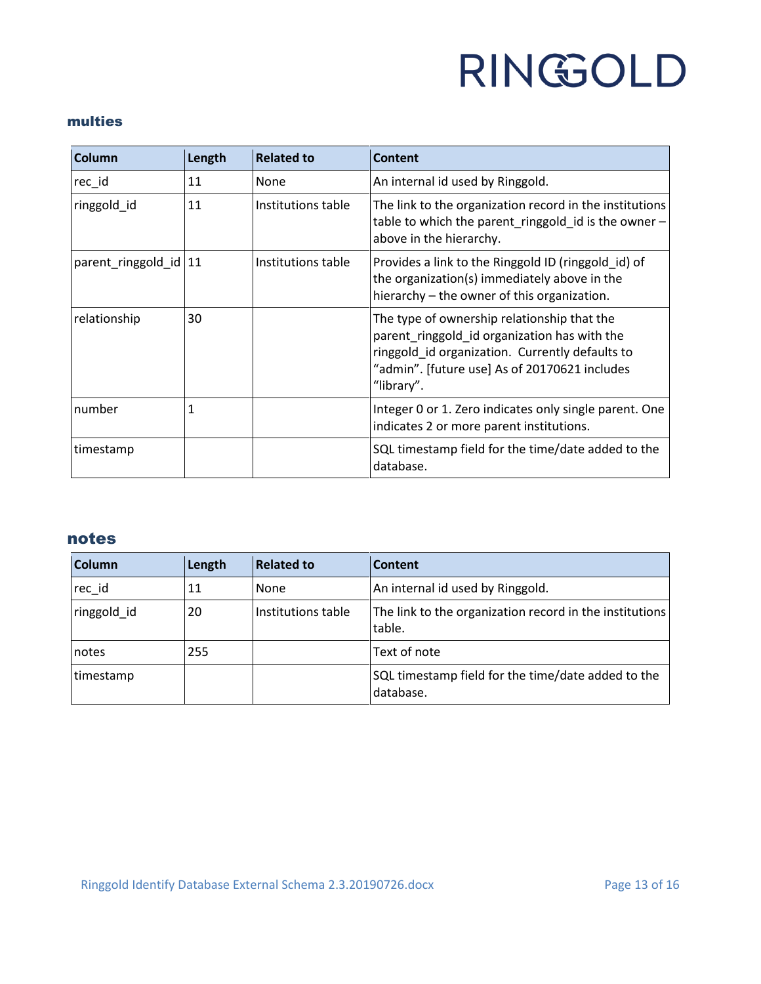#### <span id="page-12-0"></span>multies

| Column                  | Length | <b>Related to</b>  | <b>Content</b>                                                                                                                                                                                                |
|-------------------------|--------|--------------------|---------------------------------------------------------------------------------------------------------------------------------------------------------------------------------------------------------------|
| rec_id                  | 11     | None               | An internal id used by Ringgold.                                                                                                                                                                              |
| ringgold_id             | 11     | Institutions table | The link to the organization record in the institutions<br>table to which the parent_ringgold_id is the owner -<br>above in the hierarchy.                                                                    |
| parent_ringgold_id   11 |        | Institutions table | Provides a link to the Ringgold ID (ringgold id) of<br>the organization(s) immediately above in the<br>hierarchy - the owner of this organization.                                                            |
| relationship            | 30     |                    | The type of ownership relationship that the<br>parent_ringgold_id organization has with the<br>ringgold_id organization. Currently defaults to<br>"admin". [future use] As of 20170621 includes<br>"library". |
| number                  | 1      |                    | Integer 0 or 1. Zero indicates only single parent. One<br>indicates 2 or more parent institutions.                                                                                                            |
| timestamp               |        |                    | SQL timestamp field for the time/date added to the<br>database.                                                                                                                                               |

#### <span id="page-12-1"></span>notes

| Column      | Length | <b>Related to</b>  | Content                                                           |
|-------------|--------|--------------------|-------------------------------------------------------------------|
| rec_id      | 11     | None               | An internal id used by Ringgold.                                  |
| ringgold id | 20     | Institutions table | The link to the organization record in the institutions<br>table. |
| notes       | 255    |                    | Text of note                                                      |
| timestamp   |        |                    | SQL timestamp field for the time/date added to the<br>database.   |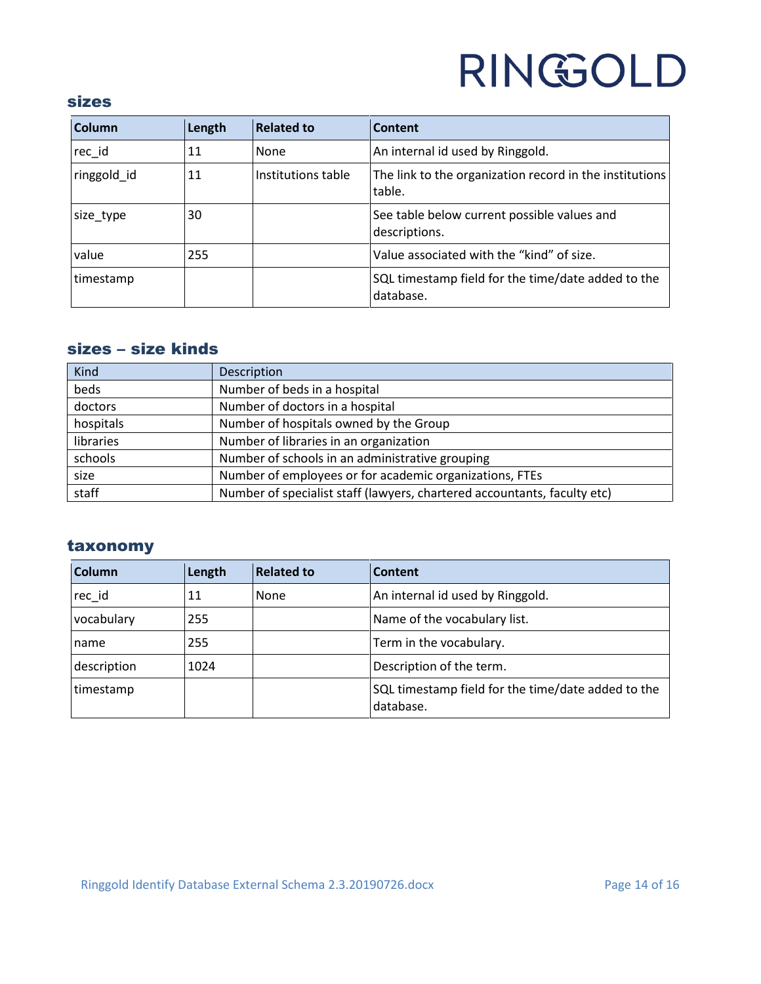#### <span id="page-13-0"></span>sizes

| <b>Column</b> | Length | <b>Related to</b>  | Content                                                           |
|---------------|--------|--------------------|-------------------------------------------------------------------|
| rec id        | 11     | None               | An internal id used by Ringgold.                                  |
| ringgold id   | 11     | Institutions table | The link to the organization record in the institutions<br>table. |
| size_type     | 30     |                    | See table below current possible values and<br>descriptions.      |
| value         | 255    |                    | Value associated with the "kind" of size.                         |
| timestamp     |        |                    | SQL timestamp field for the time/date added to the<br>database.   |

### <span id="page-13-1"></span>sizes – size kinds

| Kind      | Description                                                              |  |
|-----------|--------------------------------------------------------------------------|--|
| beds      | Number of beds in a hospital                                             |  |
| doctors   | Number of doctors in a hospital                                          |  |
| hospitals | Number of hospitals owned by the Group                                   |  |
| libraries | Number of libraries in an organization                                   |  |
| schools   | Number of schools in an administrative grouping                          |  |
| size      | Number of employees or for academic organizations, FTEs                  |  |
| staff     | Number of specialist staff (lawyers, chartered accountants, faculty etc) |  |

### <span id="page-13-2"></span>taxonomy

| Column      | Length | <b>Related to</b> | <b>Content</b>                                                  |
|-------------|--------|-------------------|-----------------------------------------------------------------|
| rec_id      | 11     | None              | An internal id used by Ringgold.                                |
| vocabulary  | 255    |                   | Name of the vocabulary list.                                    |
| name        | 255    |                   | Term in the vocabulary.                                         |
| description | 1024   |                   | Description of the term.                                        |
| timestamp   |        |                   | SQL timestamp field for the time/date added to the<br>database. |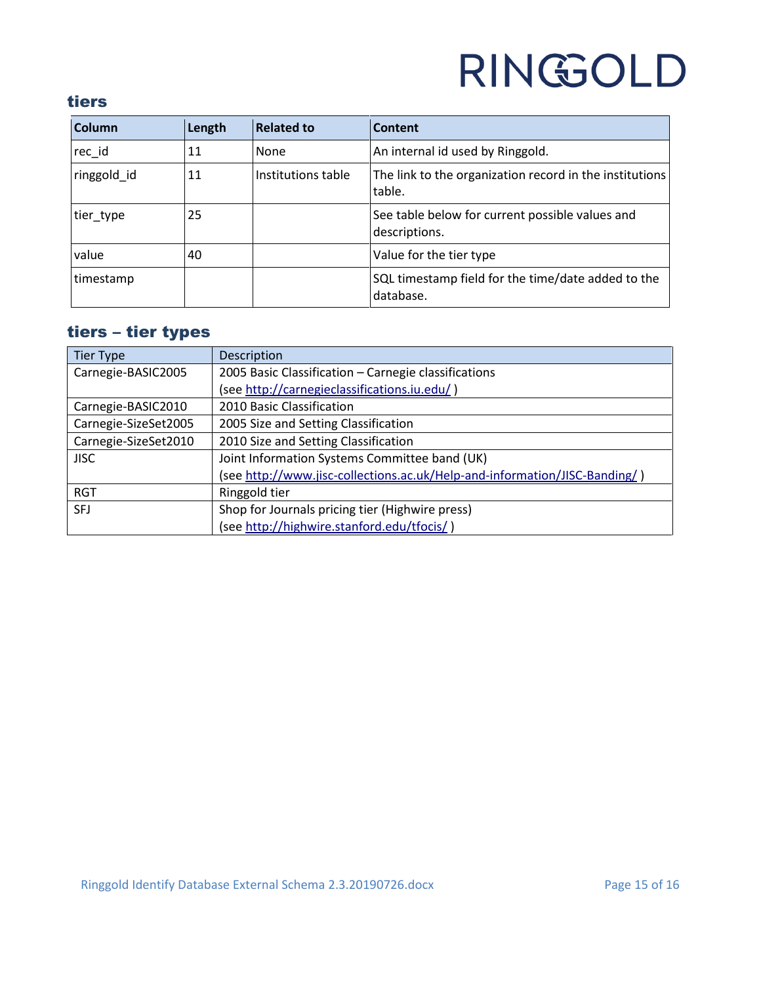### <span id="page-14-0"></span>tiers

| <b>Column</b> | Length | <b>Related to</b>  | Content                                                           |
|---------------|--------|--------------------|-------------------------------------------------------------------|
| rec_id        | 11     | None               | An internal id used by Ringgold.                                  |
| ringgold id   | 11     | Institutions table | The link to the organization record in the institutions<br>table. |
| tier_type     | 25     |                    | See table below for current possible values and<br>descriptions.  |
| value         | 40     |                    | Value for the tier type                                           |
| timestamp     |        |                    | SQL timestamp field for the time/date added to the<br>database.   |

### <span id="page-14-1"></span>tiers – tier types

| <b>Tier Type</b>     | Description                                                                |
|----------------------|----------------------------------------------------------------------------|
| Carnegie-BASIC2005   | 2005 Basic Classification - Carnegie classifications                       |
|                      | (see http://carnegieclassifications.iu.edu/)                               |
| Carnegie-BASIC2010   | 2010 Basic Classification                                                  |
| Carnegie-SizeSet2005 | 2005 Size and Setting Classification                                       |
| Carnegie-SizeSet2010 | 2010 Size and Setting Classification                                       |
| <b>JISC</b>          | Joint Information Systems Committee band (UK)                              |
|                      | (see http://www.jisc-collections.ac.uk/Help-and-information/JISC-Banding/) |
| <b>RGT</b>           | Ringgold tier                                                              |
| <b>SFJ</b>           | Shop for Journals pricing tier (Highwire press)                            |
|                      | (see http://highwire.stanford.edu/tfocis/)                                 |